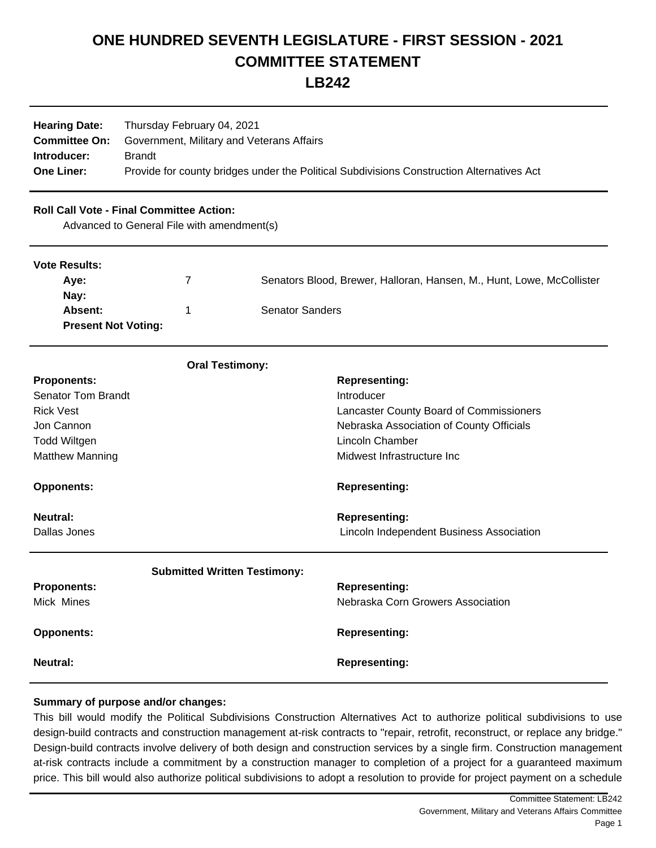## **ONE HUNDRED SEVENTH LEGISLATURE - FIRST SESSION - 2021 COMMITTEE STATEMENT**

**LB242**

| <b>Hearing Date:</b><br><b>Committee On:</b><br>Introducer:<br><b>One Liner:</b> | Thursday February 04, 2021<br>Government, Military and Veterans Affairs<br><b>Brandt</b><br>Provide for county bridges under the Political Subdivisions Construction Alternatives Act |                                                                       |  |
|----------------------------------------------------------------------------------|---------------------------------------------------------------------------------------------------------------------------------------------------------------------------------------|-----------------------------------------------------------------------|--|
|                                                                                  | <b>Roll Call Vote - Final Committee Action:</b><br>Advanced to General File with amendment(s)                                                                                         |                                                                       |  |
| <b>Vote Results:</b>                                                             |                                                                                                                                                                                       |                                                                       |  |
| Aye:                                                                             | 7                                                                                                                                                                                     | Senators Blood, Brewer, Halloran, Hansen, M., Hunt, Lowe, McCollister |  |
| Nay:                                                                             |                                                                                                                                                                                       |                                                                       |  |
| <b>Senator Sanders</b><br>Absent:<br>1<br><b>Present Not Voting:</b>             |                                                                                                                                                                                       |                                                                       |  |
|                                                                                  | <b>Oral Testimony:</b>                                                                                                                                                                |                                                                       |  |
| <b>Proponents:</b>                                                               |                                                                                                                                                                                       | <b>Representing:</b>                                                  |  |
| <b>Senator Tom Brandt</b>                                                        |                                                                                                                                                                                       | Introducer                                                            |  |
| <b>Rick Vest</b>                                                                 |                                                                                                                                                                                       | Lancaster County Board of Commissioners                               |  |
| Jon Cannon                                                                       |                                                                                                                                                                                       | Nebraska Association of County Officials                              |  |
| <b>Todd Wiltgen</b>                                                              |                                                                                                                                                                                       | <b>Lincoln Chamber</b>                                                |  |
| <b>Matthew Manning</b>                                                           |                                                                                                                                                                                       | Midwest Infrastructure Inc                                            |  |
| <b>Opponents:</b>                                                                |                                                                                                                                                                                       | <b>Representing:</b>                                                  |  |
| <b>Neutral:</b>                                                                  |                                                                                                                                                                                       | <b>Representing:</b>                                                  |  |
| Dallas Jones                                                                     |                                                                                                                                                                                       | Lincoln Independent Business Association                              |  |
|                                                                                  | <b>Submitted Written Testimony:</b>                                                                                                                                                   |                                                                       |  |
| <b>Proponents:</b>                                                               |                                                                                                                                                                                       | <b>Representing:</b>                                                  |  |
| Mick Mines                                                                       |                                                                                                                                                                                       | Nebraska Corn Growers Association                                     |  |

**Opponents:** Representing: **Neutral: Representing:** 

## **Summary of purpose and/or changes:**

This bill would modify the Political Subdivisions Construction Alternatives Act to authorize political subdivisions to use design-build contracts and construction management at-risk contracts to "repair, retrofit, reconstruct, or replace any bridge." Design-build contracts involve delivery of both design and construction services by a single firm. Construction management at-risk contracts include a commitment by a construction manager to completion of a project for a guaranteed maximum price. This bill would also authorize political subdivisions to adopt a resolution to provide for project payment on a schedule